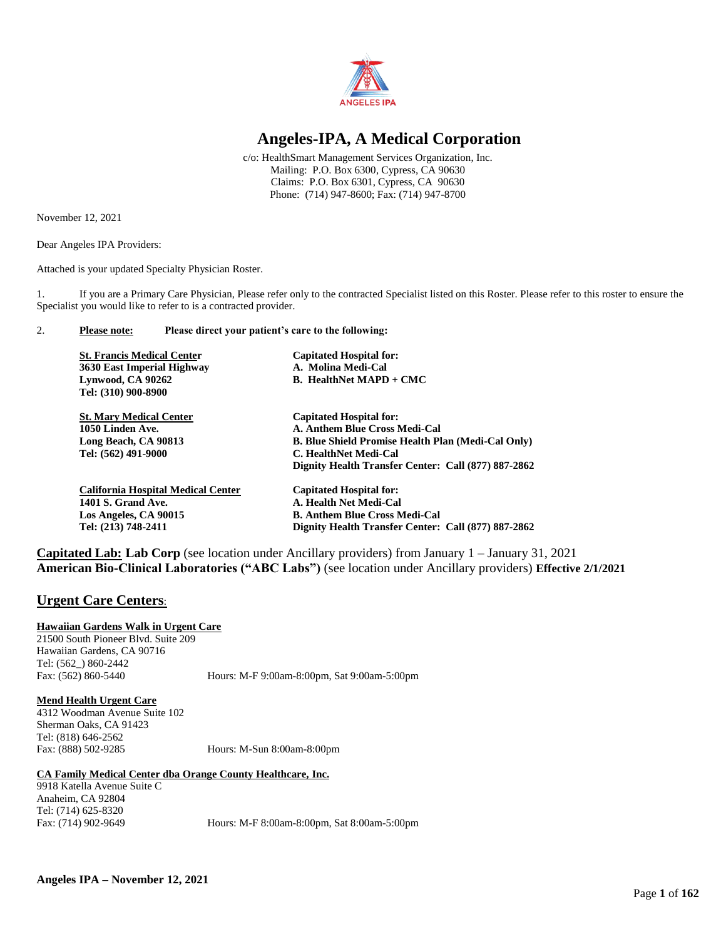

# **Angeles-IPA, A Medical Corporation**

c/o: HealthSmart Management Services Organization, Inc. Mailing: P.O. Box 6300, Cypress, CA 90630 Claims: P.O. Box 6301, Cypress, CA 90630 Phone: (714) 947-8600; Fax: (714) 947-8700

November 12, 2021

Dear Angeles IPA Providers:

Attached is your updated Specialty Physician Roster.

1. If you are a Primary Care Physician, Please refer only to the contracted Specialist listed on this Roster. Please refer to this roster to ensure the Specialist you would like to refer to is a contracted provider.

## 2. **Please note: Please direct your patient's care to the following:**

| <b>St. Francis Medical Center</b>         | <b>Capitated Hospital for:</b>                      |
|-------------------------------------------|-----------------------------------------------------|
| 3630 East Imperial Highway                | A. Molina Medi-Cal                                  |
| Lynwood, CA 90262                         | <b>B.</b> HealthNet $MAPD + CMC$                    |
| Tel: (310) 900-8900                       |                                                     |
| <b>St. Mary Medical Center</b>            | <b>Capitated Hospital for:</b>                      |
| 1050 Linden Ave.                          | A. Anthem Blue Cross Medi-Cal                       |
| Long Beach, CA 90813                      | B. Blue Shield Promise Health Plan (Medi-Cal Only)  |
| Tel: (562) 491-9000                       | C. HealthNet Medi-Cal                               |
|                                           | Dignity Health Transfer Center: Call (877) 887-2862 |
| <b>California Hospital Medical Center</b> | <b>Capitated Hospital for:</b>                      |
| <b>1401 S. Grand Ave.</b>                 | A. Health Net Medi-Cal                              |
| Los Angeles, CA 90015                     | <b>B. Anthem Blue Cross Medi-Cal</b>                |
| Tel: (213) 748-2411                       | Dignity Health Transfer Center: Call (877) 887-2862 |

**Capitated Lab: Lab Corp** (see location under Ancillary providers) from January 1 – January 31, 2021 **American Bio-Clinical Laboratories ("ABC Labs")** (see location under Ancillary providers) **Effective 2/1/2021**

# **Urgent Care Centers**:

## **Hawaiian Gardens Walk in Urgent Care**

21500 South Pioneer Blvd. Suite 209 Hawaiian Gardens, CA 90716 Tel: (562\_) 860-2442

Fax: (562) 860-5440 Hours: M-F 9:00am-8:00pm, Sat 9:00am-5:00pm

## **Mend Health Urgent Care**

4312 Woodman Avenue Suite 102 Sherman Oaks, CA 91423 Tel: (818) 646-2562 Fax: (888) 502-9285 Hours: M-Sun 8:00am-8:00pm

## **CA Family Medical Center dba Orange County Healthcare, Inc.**

9918 Katella Avenue Suite C Anaheim, CA 92804 Tel: (714) 625-8320

Fax: (714) 902-9649 Hours: M-F 8:00am-8:00pm, Sat 8:00am-5:00pm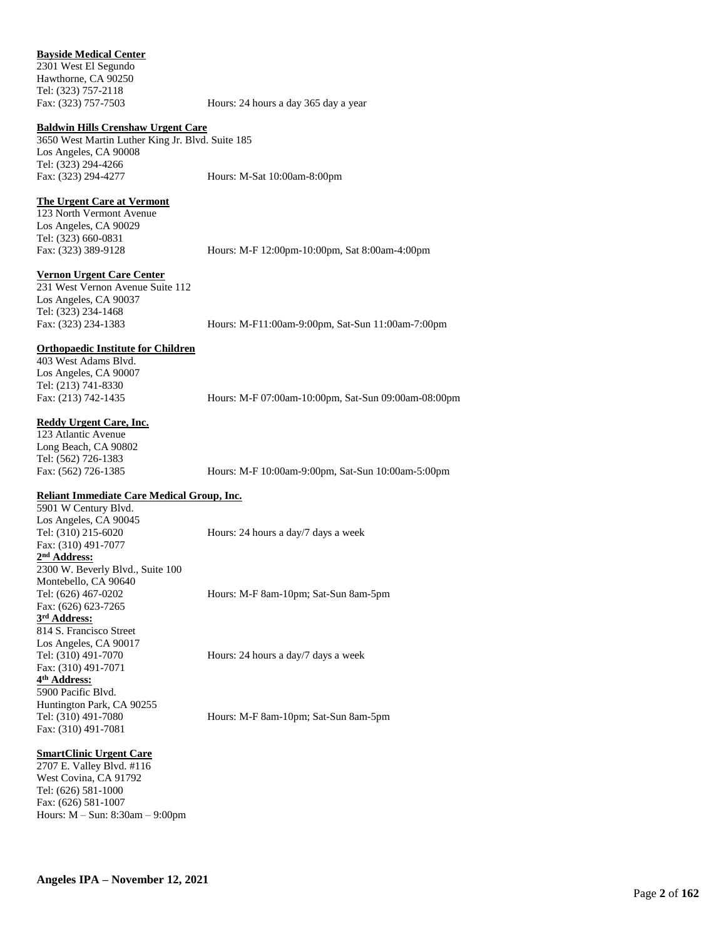## **Bayside Medical Center**

2301 West El Segundo Hawthorne, CA 90250 Tel: (323) 757-2118

Fax: (323) 757-7503 Hours: 24 hours a day 365 day a year

#### **Baldwin Hills Crenshaw Urgent Care**

3650 West Martin Luther King Jr. Blvd. Suite 185 Los Angeles, CA 90008 Tel: (323) 294-4266 Fax: (323) 294-4277 Hours: M-Sat 10:00am-8:00pm

**The Urgent Care at Vermont**

123 North Vermont Avenue Los Angeles, CA 90029 Tel: (323) 660-0831

Fax: (323) 389-9128 Hours: M-F 12:00pm-10:00pm, Sat 8:00am-4:00pm

#### **Vernon Urgent Care Center**

231 West Vernon Avenue Suite 112 Los Angeles, CA 90037 Tel: (323) 234-1468

Fax: (323) 234-1383 Hours: M-F11:00am-9:00pm, Sat-Sun 11:00am-7:00pm

#### **Orthopaedic Institute for Children**

403 West Adams Blvd. Los Angeles, CA 90007 Tel: (213) 741-8330

Fax: (213) 742-1435 Hours: M-F 07:00am-10:00pm, Sat-Sun 09:00am-08:00pm

#### **Reddy Urgent Care, Inc.**

123 Atlantic Avenue Long Beach, CA 90802 Tel: (562) 726-1383

Fax: (562) 726-1385 Hours: M-F 10:00am-9:00pm, Sat-Sun 10:00am-5:00pm

## **Reliant Immediate Care Medical Group, Inc.**

5901 W Century Blvd. Los Angeles, CA 90045 Tel: (310) 215-6020 Hours: 24 hours a day/7 days a week Fax: (310) 491-7077 **2 nd Address:** 2300 W. Beverly Blvd., Suite 100 Montebello, CA 90640 Tel: (626) 467-0202 Hours: M-F 8am-10pm; Sat-Sun 8am-5pm Fax: (626) 623-7265 **3 rd Address:**  814 S. Francisco Street Los Angeles, CA 90017 Tel: (310) 491-7070 Hours: 24 hours a day/7 days a week Fax: (310) 491-7071 **4 th Address:** 5900 Pacific Blvd. Huntington Park, CA 90255 Tel: (310) 491-7080 Hours: M-F 8am-10pm; Sat-Sun 8am-5pm

#### **SmartClinic Urgent Care**

Fax: (310) 491-7081

2707 E. Valley Blvd. #116 West Covina, CA 91792 Tel: (626) 581-1000 Fax: (626) 581-1007 Hours: M – Sun: 8:30am – 9:00pm

**Angeles IPA – November 12, 2021**

Page **2** of **162**